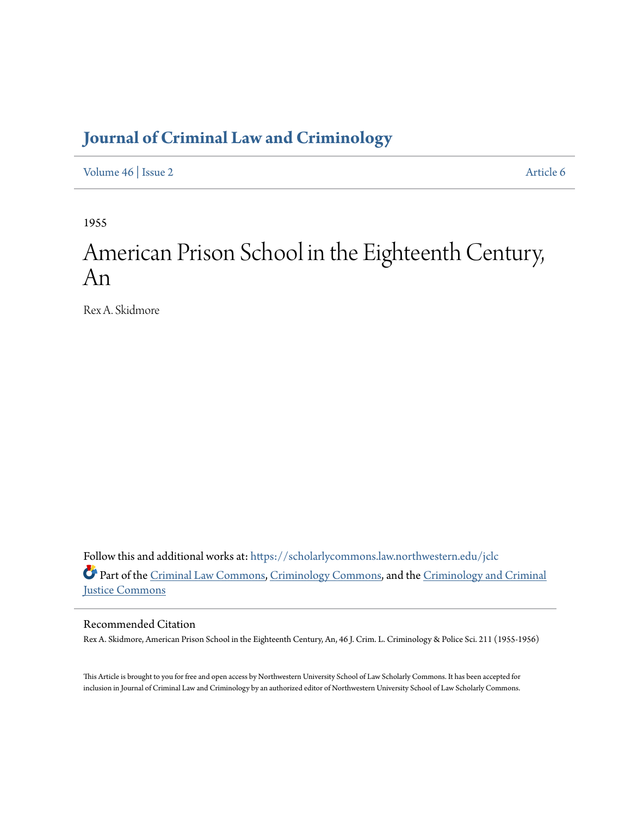## **[Journal of Criminal Law and Criminology](https://scholarlycommons.law.northwestern.edu/jclc?utm_source=scholarlycommons.law.northwestern.edu%2Fjclc%2Fvol46%2Fiss2%2F6&utm_medium=PDF&utm_campaign=PDFCoverPages)**

[Volume 46](https://scholarlycommons.law.northwestern.edu/jclc/vol46?utm_source=scholarlycommons.law.northwestern.edu%2Fjclc%2Fvol46%2Fiss2%2F6&utm_medium=PDF&utm_campaign=PDFCoverPages) | [Issue 2](https://scholarlycommons.law.northwestern.edu/jclc/vol46/iss2?utm_source=scholarlycommons.law.northwestern.edu%2Fjclc%2Fvol46%2Fiss2%2F6&utm_medium=PDF&utm_campaign=PDFCoverPages) [Article 6](https://scholarlycommons.law.northwestern.edu/jclc/vol46/iss2/6?utm_source=scholarlycommons.law.northwestern.edu%2Fjclc%2Fvol46%2Fiss2%2F6&utm_medium=PDF&utm_campaign=PDFCoverPages)

1955

# American Prison School in the Eighteenth Century, An

Rex A. Skidmore

Follow this and additional works at: [https://scholarlycommons.law.northwestern.edu/jclc](https://scholarlycommons.law.northwestern.edu/jclc?utm_source=scholarlycommons.law.northwestern.edu%2Fjclc%2Fvol46%2Fiss2%2F6&utm_medium=PDF&utm_campaign=PDFCoverPages) Part of the [Criminal Law Commons](http://network.bepress.com/hgg/discipline/912?utm_source=scholarlycommons.law.northwestern.edu%2Fjclc%2Fvol46%2Fiss2%2F6&utm_medium=PDF&utm_campaign=PDFCoverPages), [Criminology Commons](http://network.bepress.com/hgg/discipline/417?utm_source=scholarlycommons.law.northwestern.edu%2Fjclc%2Fvol46%2Fiss2%2F6&utm_medium=PDF&utm_campaign=PDFCoverPages), and the [Criminology and Criminal](http://network.bepress.com/hgg/discipline/367?utm_source=scholarlycommons.law.northwestern.edu%2Fjclc%2Fvol46%2Fiss2%2F6&utm_medium=PDF&utm_campaign=PDFCoverPages) [Justice Commons](http://network.bepress.com/hgg/discipline/367?utm_source=scholarlycommons.law.northwestern.edu%2Fjclc%2Fvol46%2Fiss2%2F6&utm_medium=PDF&utm_campaign=PDFCoverPages)

### Recommended Citation

Rex A. Skidmore, American Prison School in the Eighteenth Century, An, 46 J. Crim. L. Criminology & Police Sci. 211 (1955-1956)

This Article is brought to you for free and open access by Northwestern University School of Law Scholarly Commons. It has been accepted for inclusion in Journal of Criminal Law and Criminology by an authorized editor of Northwestern University School of Law Scholarly Commons.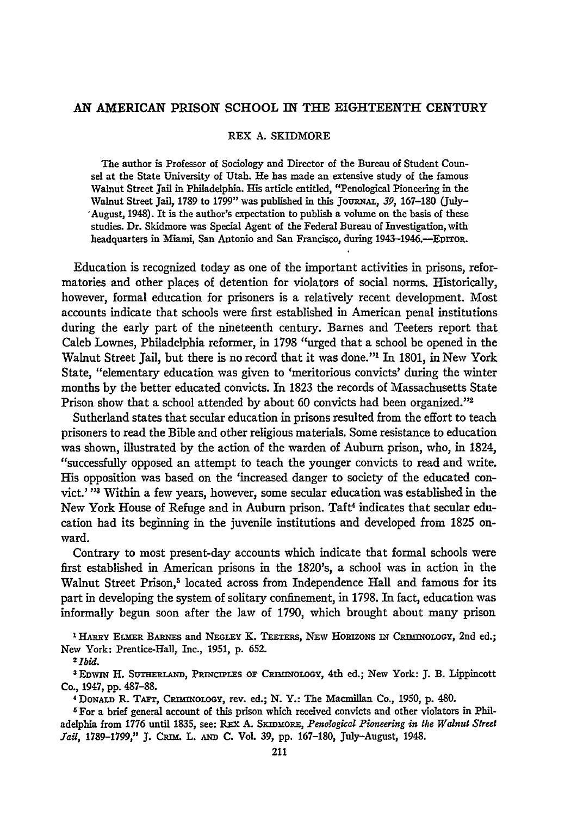#### **AN** AMERICAN PRISON **SCHOOL** IN THE **EIGHTEENTH CENTURY**

#### REX A. SKIDMORE

The author is Professor of Sociology and Director of the Bureau of Student Counsel at the State University of Utah. He has made an extensive study of the famous Walnut Street Jail in Philadelphia. His article entitled, "Penological Pioneering in the Walnut Street Jail, 1789 to 1799" was published in this JouRNAL, *39,* 167-180 (July- 'August, 1948). It is the author's expectation to publish a volume on the basis of these studies. Dr. Skidmore was Special Agent of the Federal Bureau of Investigation, with headquarters in Miami, San Antonio and San Francisco, during 1943-1946.--EDITOR.

Education is recognized today as one of the important activities in prisons, reformatories and other places of detention for violators of social norms. Historically, however, formal education for prisoners is a relatively recent development. Most accounts indicate that schools were first established in American penal institutions during the early part of the nineteenth century. Barnes and Teeters report that Caleb Lownes, Philadelphia reformer, in 1798 "urged that a school be opened in the Walnut Street Jail, but there is no record that it was done."' In 1801, in New York State, "elementary education was given to 'meritorious convicts' during the winter months by the better educated convicts. In 1823 the records of Massachusetts State Prison show that a school attended by about 60 convicts had been organized."<sup>2</sup>

Sutherland states that secular education in prisons resulted from the effort to teach prisoners to read the Bible and other religious materials. Some resistance to education was shown, illustrated by the action of the warden of Auburn prison, who, in 1824, "successfully opposed an attempt to teach the younger convicts to read and write. His opposition was based on the 'increased danger to society of the educated convict.' <sup>13</sup> Within a few years, however, some secular education was established in the New York House of Refuge and in Auburn prison. Taft<sup>4</sup> indicates that secular education had its beginning in the juvenile institutions and developed from 1825 onward.

Contrary to most present-day accounts which indicate that formal schools were first established in American prisons in the 1820's, a school was in action in the Walnut Street Prison,<sup>5</sup> located across from Independence Hall and famous for its part in developing the system of solitary confinement, in 1798. In fact, education was informally begun soon after the law of 1790, which brought about many prison

<sup>1</sup> HARRY ELMER BARNES and NEGLEY K. TEETERS, NEW HORIZONS IN CRIMINOLOGY, 2nd ed.; New York: Prentice-Hall, Inc., 1951, p. 652. *2Ibid.*

<sup>3</sup> EDWIN H. SUTHERLAND, PRINCIPLES OF CRIMINOLOGY, 4th ed.; New York: J. B. Lippincott Co., 1947, pp. 487-88.

4 DONALD R. TAFT, CRInINOLOGY, rev. ed.; N. Y.: The Macmillan Co., 1950, p. 480. <sup>5</sup>

For a brief general account of this prison which received convicts and other violators in Philadelphia from **1776** until **1835,** see: Rxx **A.** SxmmoRE, *Penologkal Pioneering in the Walnut Sired* Jail, 1789-1799," J. CRIM. L. AND C. Vol. 39, pp. 167-180, July-August, 1948.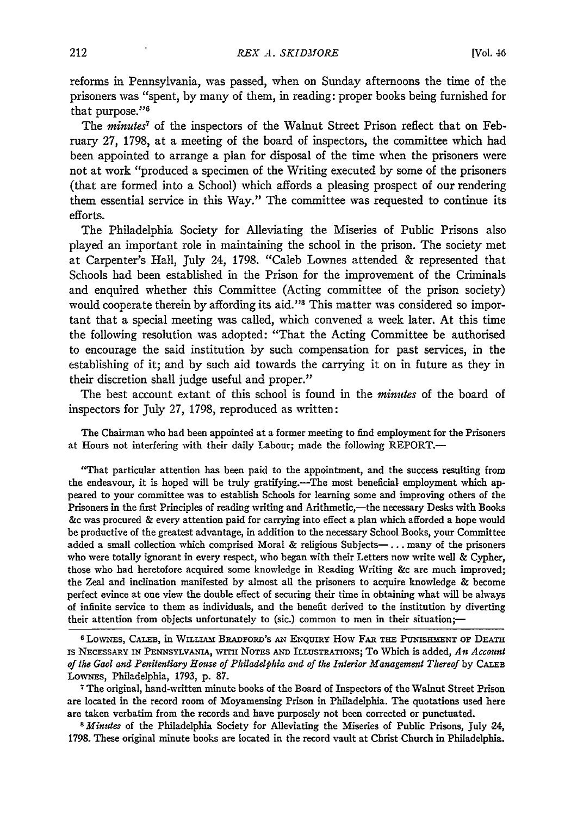reforms in Pennsylvania, was passed, when on Sunday afternoons the time of the prisoners was "spent, by many of them, in reading: proper books being furnished for that purpose."<sup>6</sup>

The *minutes*<sup>7</sup> of the inspectors of the Walnut Street Prison reflect that on February 27, 1798, at a meeting of the board of inspectors, the committee which had been appointed to arrange a plan for disposal of the time when the prisoners were not at work "produced a specimen of the Writing executed by some of the prisoners (that are formed into a School) which affords a pleasing prospect of our rendering them essential service in this Way." The committee was requested to continue its efforts.

The Philadelphia Society for Alleviating the Miseries of Public Prisons also played an important role in maintaining the school in the prison. The society met at Carpenter's Hall, July 24, 1798. "Caleb Lownes attended & represented that Schools had been established in the Prison for the improvement of the Criminals and enquired whether this Committee (Acting committee of the prison society) would cooperate therein by affording its aid."<sup>8</sup> This matter was considered so important that a special meeting was called, which convened a week later. At this time the following resolution was adopted: "That the Acting Committee be authorised to encourage the said institution by such compensation for past services, in the establishing of it; and by such aid towards the carrying it on in future as they in their discretion shall judge useful and proper."

The best account extant of this school is found in the *minutes* of the board of inspectors for July 27, 1798, reproduced as written:

The Chairman who had been appointed at a former meeting to find employment for the Prisoners at Hours not interfering with their daily Labour; made the following REPORT.-

"That particular attention has been paid to the appointment, and the success resulting from the endeavour, it is hoped will be truly gratifying.-The most beneficial employment which appeared to your committee was to establish Schools for learning some and improving others of the Prisoners in the first Principles of reading writing and Arithmetic,—the necessary Desks with Books &c was procured & every attention paid for carrying into effect a plan which afforded a hope would be productive of the greatest advantage, in addition to the necessary School Books, your Committee added a small collection which comprised Moral & religious Subjects-... many of the prisoners who were totally ignorant in every respect, who began with their Letters now write well & Cypher, those who had heretofore acquired some knowledge in Reading Writing &c are much improved; the Zeal and inclination manifested by almost all the prisoners to acquire knowledge & become perfect evince at one view the double effect of securing their time in obtaining what will be always of infinite service to them as individuals, and the benefit derived to the institution by diverting their attention from objects unfortunately to (sic.) common to men in their situation;-

**<sup>6</sup>**LowES, **CALEB,** in WiLLiAm BRADFoRD's **AN** ENQUIRY How FAR **THE PUNISHMENT or DEATI** is NEcEssARY iN **PENNSYLVANIA,** wri NoTEs **AND** ILLUSTRATIONs; To Which is added, *An Account of the Gaol and Penitentiary House of Philadelphia and of the Interior Management Thereof* by **CALEB** LowN-Es, Philadelphia, 1793, p. 87.

**7** The original, hand-written minute books of the Board of Inspectors of the Walnut Street Prison are located in the record room of Moyamensing Prison in Philadelphia. The quotations used here are taken verbatim from the records and have purposely not been corrected or punctuated. *<sup>8</sup>Minutes* of the Philadelphia Society for Alleviating the Miseries of Public Prisons, July 24,

**1798.** These original minute books are located in the record vault at Christ Church in Philadelphia.